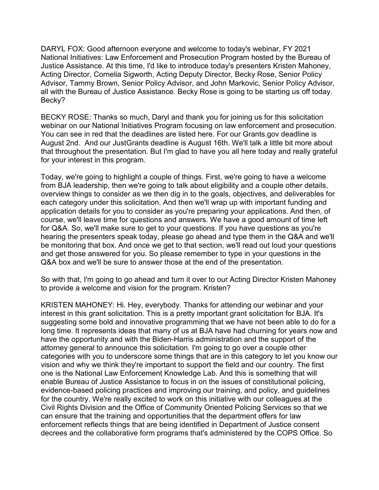DARYL FOX: Good afternoon everyone and welcome to today's webinar, FY 2021 National Initiatives: Law Enforcement and Prosecution Program hosted by the Bureau of Justice Assistance. At this time, I'd like to introduce today's presenters Kristen Mahoney, Acting Director, Cornelia Sigworth, Acting Deputy Director, Becky Rose, Senior Policy Advisor, Tammy Brown, Senior Policy Advisor, and John Markovic, Senior Policy Advisor, all with the Bureau of Justice Assistance. Becky Rose is going to be starting us off today. Becky?

BECKY ROSE: Thanks so much, Daryl and thank you for joining us for this solicitation webinar on our National Initiatives Program focusing on law enforcement and prosecution. You can see in red that the deadlines are listed here. For our Grants.gov deadline is August 2nd. And our JustGrants deadline is August 16th. We'll talk a little bit more about that throughout the presentation. But I'm glad to have you all here today and really grateful for your interest in this program.

Today, we're going to highlight a couple of things. First, we're going to have a welcome from BJA leadership, then we're going to talk about eligibility and a couple other details, overview things to consider as we then dig in to the goals, objectives, and deliverables for each category under this solicitation. And then we'll wrap up with important funding and application details for you to consider as you're preparing your applications. And then, of course, we'll leave time for questions and answers. We have a good amount of time left for Q&A. So, we'll make sure to get to your questions. If you have questions as you're hearing the presenters speak today, please go ahead and type them in the Q&A and we'll be monitoring that box. And once we get to that section, we'll read out loud your questions and get those answered for you. So please remember to type in your questions in the Q&A box and we'll be sure to answer those at the end of the presentation.

So with that, I'm going to go ahead and turn it over to our Acting Director Kristen Mahoney to provide a welcome and vision for the program. Kristen?

KRISTEN MAHONEY: Hi. Hey, everybody. Thanks for attending our webinar and your interest in this grant solicitation. This is a pretty important grant solicitation for BJA. It's suggesting some bold and innovative programming that we have not been able to do for a long time. It represents ideas that many of us at BJA have had churning for years now and have the opportunity and with the Biden-Harris administration and the support of the attorney general to announce this solicitation. I'm going to go over a couple other categories with you to underscore some things that are in this category to let you know our vision and why we think they're important to support the field and our country. The first one is the National Law Enforcement Knowledge Lab. And this is something that will enable Bureau of Justice Assistance to focus in on the issues of constitutional policing, evidence-based policing practices and improving our training, and policy, and guidelines for the country. We're really excited to work on this initiative with our colleagues at the Civil Rights Division and the Office of Community Oriented Policing Services so that we can ensure that the training and opportunities that the department offers for law enforcement reflects things that are being identified in Department of Justice consent decrees and the collaborative form programs that's administered by the COPS Office. So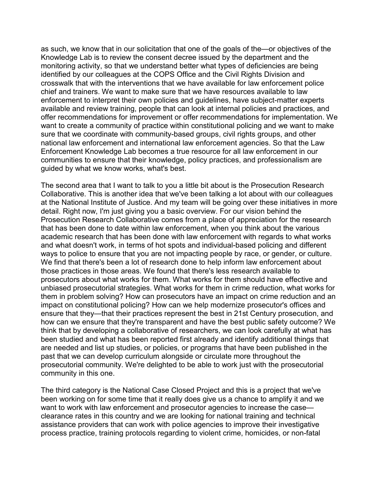as such, we know that in our solicitation that one of the goals of the—or objectives of the Knowledge Lab is to review the consent decree issued by the department and the monitoring activity, so that we understand better what types of deficiencies are being identified by our colleagues at the COPS Office and the Civil Rights Division and crosswalk that with the interventions that we have available for law enforcement police chief and trainers. We want to make sure that we have resources available to law enforcement to interpret their own policies and guidelines, have subject-matter experts available and review training, people that can look at internal policies and practices, and offer recommendations for improvement or offer recommendations for implementation. We want to create a community of practice within constitutional policing and we want to make sure that we coordinate with community-based groups, civil rights groups, and other national law enforcement and international law enforcement agencies. So that the Law Enforcement Knowledge Lab becomes a true resource for all law enforcement in our communities to ensure that their knowledge, policy practices, and professionalism are guided by what we know works, what's best.

The second area that I want to talk to you a little bit about is the Prosecution Research Collaborative. This is another idea that we've been talking a lot about with our colleagues at the National Institute of Justice. And my team will be going over these initiatives in more detail. Right now, I'm just giving you a basic overview. For our vision behind the Prosecution Research Collaborative comes from a place of appreciation for the research that has been done to date within law enforcement, when you think about the various academic research that has been done with law enforcement with regards to what works and what doesn't work, in terms of hot spots and individual-based policing and different ways to police to ensure that you are not impacting people by race, or gender, or culture. We find that there's been a lot of research done to help inform law enforcement about those practices in those areas. We found that there's less research available to prosecutors about what works for them. What works for them should have effective and unbiased prosecutorial strategies. What works for them in crime reduction, what works for them in problem solving? How can prosecutors have an impact on crime reduction and an impact on constitutional policing? How can we help modernize prosecutor's offices and ensure that they—that their practices represent the best in 21st Century prosecution, and how can we ensure that they're transparent and have the best public safety outcome? We think that by developing a collaborative of researchers, we can look carefully at what has been studied and what has been reported first already and identify additional things that are needed and list up studies, or policies, or programs that have been published in the past that we can develop curriculum alongside or circulate more throughout the prosecutorial community. We're delighted to be able to work just with the prosecutorial community in this one.

The third category is the National Case Closed Project and this is a project that we've been working on for some time that it really does give us a chance to amplify it and we want to work with law enforcement and prosecutor agencies to increase the case clearance rates in this country and we are looking for national training and technical assistance providers that can work with police agencies to improve their investigative process practice, training protocols regarding to violent crime, homicides, or non-fatal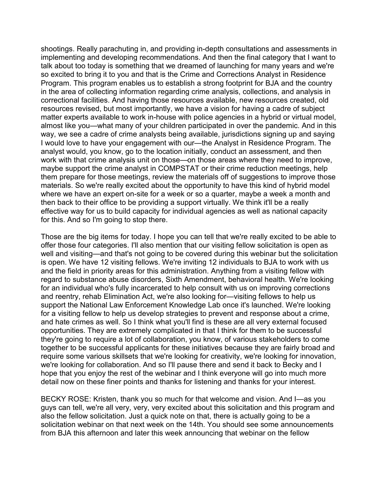shootings. Really parachuting in, and providing in-depth consultations and assessments in implementing and developing recommendations. And then the final category that I want to talk about too today is something that we dreamed of launching for many years and we're so excited to bring it to you and that is the Crime and Corrections Analyst in Residence Program. This program enables us to establish a strong footprint for BJA and the country in the area of collecting information regarding crime analysis, collections, and analysis in correctional facilities. And having those resources available, new resources created, old resources revised, but most importantly, we have a vision for having a cadre of subject matter experts available to work in-house with police agencies in a hybrid or virtual model, almost like you—what many of your children participated in over the pandemic. And in this way, we see a cadre of crime analysts being available, jurisdictions signing up and saying I would love to have your engagement with our—the Analyst in Residence Program. The analyst would, you know, go to the location initially, conduct an assessment, and then work with that crime analysis unit on those—on those areas where they need to improve, maybe support the crime analyst in COMPSTAT or their crime reduction meetings, help them prepare for those meetings, review the materials off of suggestions to improve those materials. So we're really excited about the opportunity to have this kind of hybrid model where we have an expert on-site for a week or so a quarter, maybe a week a month and then back to their office to be providing a support virtually. We think it'll be a really effective way for us to build capacity for individual agencies as well as national capacity for this. And so I'm going to stop there.

Those are the big items for today. I hope you can tell that we're really excited to be able to offer those four categories. I'll also mention that our visiting fellow solicitation is open as well and visiting—and that's not going to be covered during this webinar but the solicitation is open. We have 12 visiting fellows. We're inviting 12 individuals to BJA to work with us and the field in priority areas for this administration. Anything from a visiting fellow with regard to substance abuse disorders, Sixth Amendment, behavioral health. We're looking for an individual who's fully incarcerated to help consult with us on improving corrections and reentry, rehab Elimination Act, we're also looking for—visiting fellows to help us support the National Law Enforcement Knowledge Lab once it's launched. We're looking for a visiting fellow to help us develop strategies to prevent and response about a crime, and hate crimes as well. So I think what you'll find is these are all very external focused opportunities. They are extremely complicated in that I think for them to be successful they're going to require a lot of collaboration, you know, of various stakeholders to come together to be successful applicants for these initiatives because they are fairly broad and require some various skillsets that we're looking for creativity, we're looking for innovation, we're looking for collaboration. And so I'll pause there and send it back to Becky and I hope that you enjoy the rest of the webinar and I think everyone will go into much more detail now on these finer points and thanks for listening and thanks for your interest.

BECKY ROSE: Kristen, thank you so much for that welcome and vision. And I—as you guys can tell, we're all very, very, very excited about this solicitation and this program and also the fellow solicitation. Just a quick note on that, there is actually going to be a solicitation webinar on that next week on the 14th. You should see some announcements from BJA this afternoon and later this week announcing that webinar on the fellow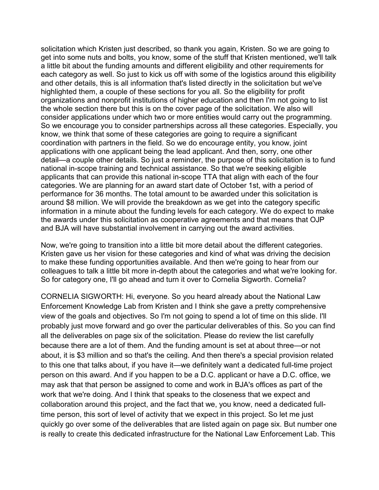solicitation which Kristen just described, so thank you again, Kristen. So we are going to get into some nuts and bolts, you know, some of the stuff that Kristen mentioned, we'll talk a little bit about the funding amounts and different eligibility and other requirements for each category as well. So just to kick us off with some of the logistics around this eligibility and other details, this is all information that's listed directly in the solicitation but we've highlighted them, a couple of these sections for you all. So the eligibility for profit organizations and nonprofit institutions of higher education and then I'm not going to list the whole section there but this is on the cover page of the solicitation. We also will consider applications under which two or more entities would carry out the programming. So we encourage you to consider partnerships across all these categories. Especially, you know, we think that some of these categories are going to require a significant coordination with partners in the field. So we do encourage entity, you know, joint applications with one applicant being the lead applicant. And then, sorry, one other detail—a couple other details. So just a reminder, the purpose of this solicitation is to fund national in-scope training and technical assistance. So that we're seeking eligible applicants that can provide this national in-scope TTA that align with each of the four categories. We are planning for an award start date of October 1st, with a period of performance for 36 months. The total amount to be awarded under this solicitation is around \$8 million. We will provide the breakdown as we get into the category specific information in a minute about the funding levels for each category. We do expect to make the awards under this solicitation as cooperative agreements and that means that OJP and BJA will have substantial involvement in carrying out the award activities.

Now, we're going to transition into a little bit more detail about the different categories. Kristen gave us her vision for these categories and kind of what was driving the decision to make these funding opportunities available. And then we're going to hear from our colleagues to talk a little bit more in-depth about the categories and what we're looking for. So for category one, I'll go ahead and turn it over to Cornelia Sigworth. Cornelia?

CORNELIA SIGWORTH: Hi, everyone. So you heard already about the National Law Enforcement Knowledge Lab from Kristen and I think she gave a pretty comprehensive view of the goals and objectives. So I'm not going to spend a lot of time on this slide. I'll probably just move forward and go over the particular deliverables of this. So you can find all the deliverables on page six of the solicitation. Please do review the list carefully because there are a lot of them. And the funding amount is set at about three—or not about, it is \$3 million and so that's the ceiling. And then there's a special provision related to this one that talks about, if you have it—we definitely want a dedicated full-time project person on this award. And if you happen to be a D.C. applicant or have a D.C. office, we may ask that that person be assigned to come and work in BJA's offices as part of the work that we're doing. And I think that speaks to the closeness that we expect and collaboration around this project, and the fact that we, you know, need a dedicated fulltime person, this sort of level of activity that we expect in this project. So let me just quickly go over some of the deliverables that are listed again on page six. But number one is really to create this dedicated infrastructure for the National Law Enforcement Lab. This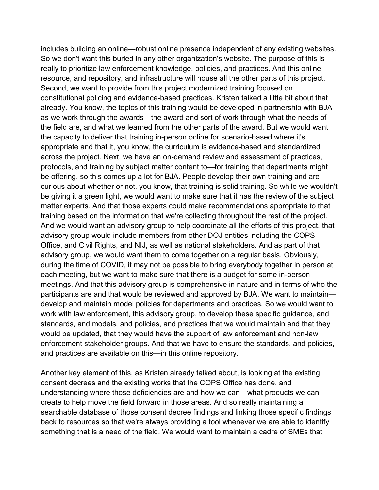includes building an online—robust online presence independent of any existing websites. So we don't want this buried in any other organization's website. The purpose of this is really to prioritize law enforcement knowledge, policies, and practices. And this online resource, and repository, and infrastructure will house all the other parts of this project. Second, we want to provide from this project modernized training focused on constitutional policing and evidence-based practices. Kristen talked a little bit about that already. You know, the topics of this training would be developed in partnership with BJA as we work through the awards—the award and sort of work through what the needs of the field are, and what we learned from the other parts of the award. But we would want the capacity to deliver that training in-person online for scenario-based where it's appropriate and that it, you know, the curriculum is evidence-based and standardized across the project. Next, we have an on-demand review and assessment of practices, protocols, and training by subject matter content to—for training that departments might be offering, so this comes up a lot for BJA. People develop their own training and are curious about whether or not, you know, that training is solid training. So while we wouldn't be giving it a green light, we would want to make sure that it has the review of the subject matter experts. And that those experts could make recommendations appropriate to that training based on the information that we're collecting throughout the rest of the project. And we would want an advisory group to help coordinate all the efforts of this project, that advisory group would include members from other DOJ entities including the COPS Office, and Civil Rights, and NIJ, as well as national stakeholders. And as part of that advisory group, we would want them to come together on a regular basis. Obviously, during the time of COVID, it may not be possible to bring everybody together in person at each meeting, but we want to make sure that there is a budget for some in-person meetings. And that this advisory group is comprehensive in nature and in terms of who the participants are and that would be reviewed and approved by BJA. We want to maintain develop and maintain model policies for departments and practices. So we would want to work with law enforcement, this advisory group, to develop these specific guidance, and standards, and models, and policies, and practices that we would maintain and that they would be updated, that they would have the support of law enforcement and non-law enforcement stakeholder groups. And that we have to ensure the standards, and policies, and practices are available on this—in this online repository.

Another key element of this, as Kristen already talked about, is looking at the existing consent decrees and the existing works that the COPS Office has done, and understanding where those deficiencies are and how we can—what products we can create to help move the field forward in those areas. And so really maintaining a searchable database of those consent decree findings and linking those specific findings back to resources so that we're always providing a tool whenever we are able to identify something that is a need of the field. We would want to maintain a cadre of SMEs that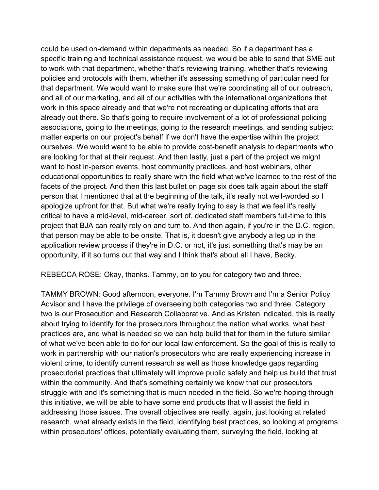could be used on-demand within departments as needed. So if a department has a specific training and technical assistance request, we would be able to send that SME out to work with that department, whether that's reviewing training, whether that's reviewing policies and protocols with them, whether it's assessing something of particular need for that department. We would want to make sure that we're coordinating all of our outreach, and all of our marketing, and all of our activities with the international organizations that work in this space already and that we're not recreating or duplicating efforts that are already out there. So that's going to require involvement of a lot of professional policing associations, going to the meetings, going to the research meetings, and sending subject matter experts on our project's behalf if we don't have the expertise within the project ourselves. We would want to be able to provide cost-benefit analysis to departments who are looking for that at their request. And then lastly, just a part of the project we might want to host in-person events, host community practices, and host webinars, other educational opportunities to really share with the field what we've learned to the rest of the facets of the project. And then this last bullet on page six does talk again about the staff person that I mentioned that at the beginning of the talk, it's really not well-worded so I apologize upfront for that. But what we're really trying to say is that we feel it's really critical to have a mid-level, mid-career, sort of, dedicated staff members full-time to this project that BJA can really rely on and turn to. And then again, if you're in the D.C. region, that person may be able to be onsite. That is, it doesn't give anybody a leg up in the application review process if they're in D.C. or not, it's just something that's may be an opportunity, if it so turns out that way and I think that's about all I have, Becky.

REBECCA ROSE: Okay, thanks. Tammy, on to you for category two and three.

TAMMY BROWN: Good afternoon, everyone. I'm Tammy Brown and I'm a Senior Policy Advisor and I have the privilege of overseeing both categories two and three. Category two is our Prosecution and Research Collaborative. And as Kristen indicated, this is really about trying to identify for the prosecutors throughout the nation what works, what best practices are, and what is needed so we can help build that for them in the future similar of what we've been able to do for our local law enforcement. So the goal of this is really to work in partnership with our nation's prosecutors who are really experiencing increase in violent crime, to identify current research as well as those knowledge gaps regarding prosecutorial practices that ultimately will improve public safety and help us build that trust within the community. And that's something certainly we know that our prosecutors struggle with and it's something that is much needed in the field. So we're hoping through this initiative, we will be able to have some end products that will assist the field in addressing those issues. The overall objectives are really, again, just looking at related research, what already exists in the field, identifying best practices, so looking at programs within prosecutors' offices, potentially evaluating them, surveying the field, looking at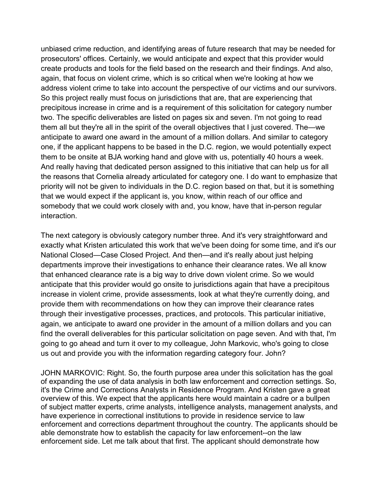unbiased crime reduction, and identifying areas of future research that may be needed for prosecutors' offices. Certainly, we would anticipate and expect that this provider would create products and tools for the field based on the research and their findings. And also, again, that focus on violent crime, which is so critical when we're looking at how we address violent crime to take into account the perspective of our victims and our survivors. So this project really must focus on jurisdictions that are, that are experiencing that precipitous increase in crime and is a requirement of this solicitation for category number two. The specific deliverables are listed on pages six and seven. I'm not going to read them all but they're all in the spirit of the overall objectives that I just covered. The—we anticipate to award one award in the amount of a million dollars. And similar to category one, if the applicant happens to be based in the D.C. region, we would potentially expect them to be onsite at BJA working hand and glove with us, potentially 40 hours a week. And really having that dedicated person assigned to this initiative that can help us for all the reasons that Cornelia already articulated for category one. I do want to emphasize that priority will not be given to individuals in the D.C. region based on that, but it is something that we would expect if the applicant is, you know, within reach of our office and somebody that we could work closely with and, you know, have that in-person regular interaction.

The next category is obviously category number three. And it's very straightforward and exactly what Kristen articulated this work that we've been doing for some time, and it's our National Closed—Case Closed Project. And then—and it's really about just helping departments improve their investigations to enhance their clearance rates. We all know that enhanced clearance rate is a big way to drive down violent crime. So we would anticipate that this provider would go onsite to jurisdictions again that have a precipitous increase in violent crime, provide assessments, look at what they're currently doing, and provide them with recommendations on how they can improve their clearance rates through their investigative processes, practices, and protocols. This particular initiative, again, we anticipate to award one provider in the amount of a million dollars and you can find the overall deliverables for this particular solicitation on page seven. And with that, I'm going to go ahead and turn it over to my colleague, John Markovic, who's going to close us out and provide you with the information regarding category four. John?

JOHN MARKOVIC: Right. So, the fourth purpose area under this solicitation has the goal of expanding the use of data analysis in both law enforcement and correction settings. So, it's the Crime and Corrections Analysts in Residence Program. And Kristen gave a great overview of this. We expect that the applicants here would maintain a cadre or a bullpen of subject matter experts, crime analysts, intelligence analysts, management analysts, and have experience in correctional institutions to provide in residence service to law enforcement and corrections department throughout the country. The applicants should be able demonstrate how to establish the capacity for law enforcement--on the law enforcement side. Let me talk about that first. The applicant should demonstrate how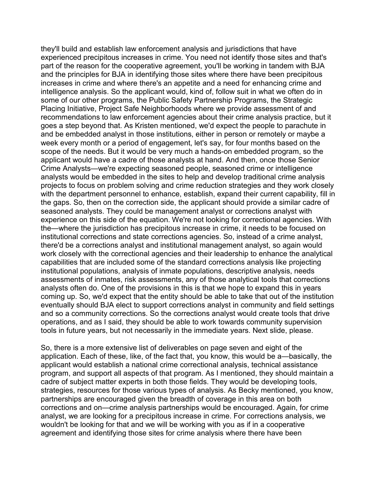they'll build and establish law enforcement analysis and jurisdictions that have experienced precipitous increases in crime. You need not identify those sites and that's part of the reason for the cooperative agreement, you'll be working in tandem with BJA and the principles for BJA in identifying those sites where there have been precipitous increases in crime and where there's an appetite and a need for enhancing crime and intelligence analysis. So the applicant would, kind of, follow suit in what we often do in some of our other programs, the Public Safety Partnership Programs, the Strategic Placing Initiative, Project Safe Neighborhoods where we provide assessment of and recommendations to law enforcement agencies about their crime analysis practice, but it goes a step beyond that. As Kristen mentioned, we'd expect the people to parachute in and be embedded analyst in those institutions, either in person or remotely or maybe a week every month or a period of engagement, let's say, for four months based on the scope of the needs. But it would be very much a hands-on embedded program, so the applicant would have a cadre of those analysts at hand. And then, once those Senior Crime Analysts—we're expecting seasoned people, seasoned crime or intelligence analysts would be embedded in the sites to help and develop traditional crime analysis projects to focus on problem solving and crime reduction strategies and they work closely with the department personnel to enhance, establish, expand their current capability, fill in the gaps. So, then on the correction side, the applicant should provide a similar cadre of seasoned analysts. They could be management analyst or corrections analyst with experience on this side of the equation. We're not looking for correctional agencies. With the—where the jurisdiction has precipitous increase in crime, it needs to be focused on institutional corrections and state corrections agencies. So, instead of a crime analyst, there'd be a corrections analyst and institutional management analyst, so again would work closely with the correctional agencies and their leadership to enhance the analytical capabilities that are included some of the standard corrections analysis like projecting institutional populations, analysis of inmate populations, descriptive analysis, needs assessments of inmates, risk assessments, any of those analytical tools that corrections analysts often do. One of the provisions in this is that we hope to expand this in years coming up. So, we'd expect that the entity should be able to take that out of the institution eventually should BJA elect to support corrections analyst in community and field settings and so a community corrections. So the corrections analyst would create tools that drive operations, and as I said, they should be able to work towards community supervision tools in future years, but not necessarily in the immediate years. Next slide, please.

So, there is a more extensive list of deliverables on page seven and eight of the application. Each of these, like, of the fact that, you know, this would be a—basically, the applicant would establish a national crime correctional analysis, technical assistance program, and support all aspects of that program. As I mentioned, they should maintain a cadre of subject matter experts in both those fields. They would be developing tools, strategies, resources for those various types of analysis. As Becky mentioned, you know, partnerships are encouraged given the breadth of coverage in this area on both corrections and on—crime analysis partnerships would be encouraged. Again, for crime analyst, we are looking for a precipitous increase in crime. For corrections analysis, we wouldn't be looking for that and we will be working with you as if in a cooperative agreement and identifying those sites for crime analysis where there have been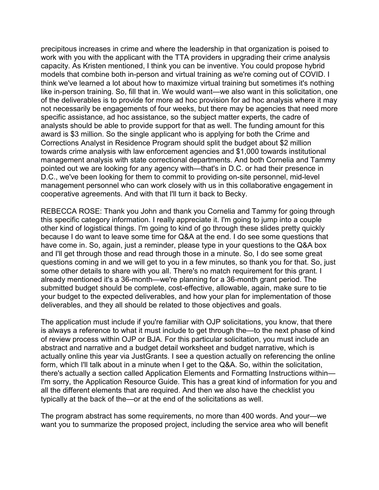precipitous increases in crime and where the leadership in that organization is poised to work with you with the applicant with the TTA providers in upgrading their crime analysis capacity. As Kristen mentioned, I think you can be inventive. You could propose hybrid models that combine both in-person and virtual training as we're coming out of COVID. I think we've learned a lot about how to maximize virtual training but sometimes it's nothing like in-person training. So, fill that in. We would want—we also want in this solicitation, one of the deliverables is to provide for more ad hoc provision for ad hoc analysis where it may not necessarily be engagements of four weeks, but there may be agencies that need more specific assistance, ad hoc assistance, so the subject matter experts, the cadre of analysts should be able to provide support for that as well. The funding amount for this award is \$3 million. So the single applicant who is applying for both the Crime and Corrections Analyst in Residence Program should split the budget about \$2 million towards crime analysis with law enforcement agencies and \$1,000 towards institutional management analysis with state correctional departments. And both Cornelia and Tammy pointed out we are looking for any agency with—that's in D.C. or had their presence in D.C., we've been looking for them to commit to providing on-site personnel, mid-level management personnel who can work closely with us in this collaborative engagement in cooperative agreements. And with that I'll turn it back to Becky.

REBECCA ROSE: Thank you John and thank you Cornelia and Tammy for going through this specific category information. I really appreciate it. I'm going to jump into a couple other kind of logistical things. I'm going to kind of go through these slides pretty quickly because I do want to leave some time for Q&A at the end. I do see some questions that have come in. So, again, just a reminder, please type in your questions to the Q&A box and I'll get through those and read through those in a minute. So, I do see some great questions coming in and we will get to you in a few minutes, so thank you for that. So, just some other details to share with you all. There's no match requirement for this grant. I already mentioned it's a 36-month—we're planning for a 36-month grant period. The submitted budget should be complete, cost-effective, allowable, again, make sure to tie your budget to the expected deliverables, and how your plan for implementation of those deliverables, and they all should be related to those objectives and goals.

The application must include if you're familiar with OJP solicitations, you know, that there is always a reference to what it must include to get through the—to the next phase of kind of review process within OJP or BJA. For this particular solicitation, you must include an abstract and narrative and a budget detail worksheet and budget narrative, which is actually online this year via JustGrants. I see a question actually on referencing the online form, which I'll talk about in a minute when I get to the Q&A. So, within the solicitation, there's actually a section called Application Elements and Formatting Instructions within— I'm sorry, the Application Resource Guide. This has a great kind of information for you and all the different elements that are required. And then we also have the checklist you typically at the back of the—or at the end of the solicitations as well.

The program abstract has some requirements, no more than 400 words. And your—we want you to summarize the proposed project, including the service area who will benefit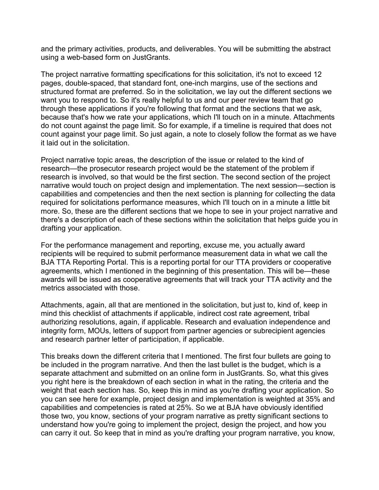and the primary activities, products, and deliverables. You will be submitting the abstract using a web-based form on JustGrants.

The project narrative formatting specifications for this solicitation, it's not to exceed 12 pages, double-spaced, that standard font, one-inch margins, use of the sections and structured format are preferred. So in the solicitation, we lay out the different sections we want you to respond to. So it's really helpful to us and our peer review team that go through these applications if you're following that format and the sections that we ask, because that's how we rate your applications, which I'll touch on in a minute. Attachments do not count against the page limit. So for example, if a timeline is required that does not count against your page limit. So just again, a note to closely follow the format as we have it laid out in the solicitation.

Project narrative topic areas, the description of the issue or related to the kind of research—the prosecutor research project would be the statement of the problem if research is involved, so that would be the first section. The second section of the project narrative would touch on project design and implementation. The next session—section is capabilities and competencies and then the next section is planning for collecting the data required for solicitations performance measures, which I'll touch on in a minute a little bit more. So, these are the different sections that we hope to see in your project narrative and there's a description of each of these sections within the solicitation that helps guide you in drafting your application.

For the performance management and reporting, excuse me, you actually award recipients will be required to submit performance measurement data in what we call the BJA TTA Reporting Portal. This is a reporting portal for our TTA providers or cooperative agreements, which I mentioned in the beginning of this presentation. This will be—these awards will be issued as cooperative agreements that will track your TTA activity and the metrics associated with those.

Attachments, again, all that are mentioned in the solicitation, but just to, kind of, keep in mind this checklist of attachments if applicable, indirect cost rate agreement, tribal authorizing resolutions, again, if applicable. Research and evaluation independence and integrity form, MOUs, letters of support from partner agencies or subrecipient agencies and research partner letter of participation, if applicable.

This breaks down the different criteria that I mentioned. The first four bullets are going to be included in the program narrative. And then the last bullet is the budget, which is a separate attachment and submitted on an online form in JustGrants. So, what this gives you right here is the breakdown of each section in what in the rating, the criteria and the weight that each section has. So, keep this in mind as you're drafting your application. So you can see here for example, project design and implementation is weighted at 35% and capabilities and competencies is rated at 25%. So we at BJA have obviously identified those two, you know, sections of your program narrative as pretty significant sections to understand how you're going to implement the project, design the project, and how you can carry it out. So keep that in mind as you're drafting your program narrative, you know,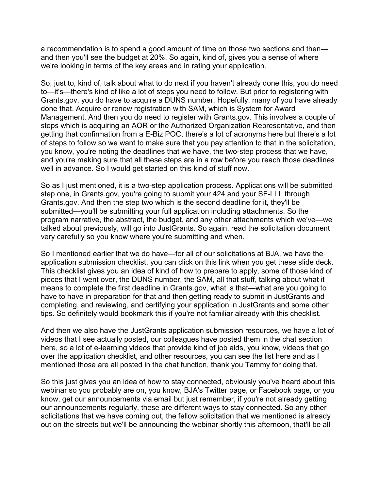a recommendation is to spend a good amount of time on those two sections and then and then you'll see the budget at 20%. So again, kind of, gives you a sense of where we're looking in terms of the key areas and in rating your application.

So, just to, kind of, talk about what to do next if you haven't already done this, you do need to—it's—there's kind of like a lot of steps you need to follow. But prior to registering with Grants.gov, you do have to acquire a DUNS number. Hopefully, many of you have already done that. Acquire or renew registration with SAM, which is System for Award Management. And then you do need to register with Grants.gov. This involves a couple of steps which is acquiring an AOR or the Authorized Organization Representative, and then getting that confirmation from a E-Biz POC, there's a lot of acronyms here but there's a lot of steps to follow so we want to make sure that you pay attention to that in the solicitation, you know, you're noting the deadlines that we have, the two-step process that we have, and you're making sure that all these steps are in a row before you reach those deadlines well in advance. So I would get started on this kind of stuff now.

So as I just mentioned, it is a two-step application process. Applications will be submitted step one, in Grants.gov, you're going to submit your 424 and your SF-LLL through Grants.gov. And then the step two which is the second deadline for it, they'll be submitted—you'll be submitting your full application including attachments. So the program narrative, the abstract, the budget, and any other attachments which we've—we talked about previously, will go into JustGrants. So again, read the solicitation document very carefully so you know where you're submitting and when.

So I mentioned earlier that we do have—for all of our solicitations at BJA, we have the application submission checklist, you can click on this link when you get these slide deck. This checklist gives you an idea of kind of how to prepare to apply, some of those kind of pieces that I went over, the DUNS number, the SAM, all that stuff, talking about what it means to complete the first deadline in Grants.gov, what is that—what are you going to have to have in preparation for that and then getting ready to submit in JustGrants and completing, and reviewing, and certifying your application in JustGrants and some other tips. So definitely would bookmark this if you're not familiar already with this checklist.

And then we also have the JustGrants application submission resources, we have a lot of videos that I see actually posted, our colleagues have posted them in the chat section here, so a lot of e-learning videos that provide kind of job aids, you know, videos that go over the application checklist, and other resources, you can see the list here and as I mentioned those are all posted in the chat function, thank you Tammy for doing that.

So this just gives you an idea of how to stay connected, obviously you've heard about this webinar so you probably are on, you know, BJA's Twitter page, or Facebook page, or you know, get our announcements via email but just remember, if you're not already getting our announcements regularly, these are different ways to stay connected. So any other solicitations that we have coming out, the fellow solicitation that we mentioned is already out on the streets but we'll be announcing the webinar shortly this afternoon, that'll be all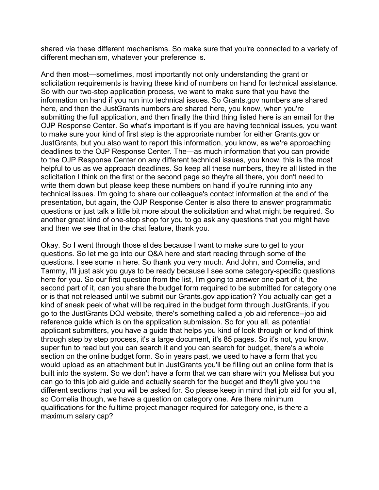shared via these different mechanisms. So make sure that you're connected to a variety of different mechanism, whatever your preference is.

And then most—sometimes, most importantly not only understanding the grant or solicitation requirements is having these kind of numbers on hand for technical assistance. So with our two-step application process, we want to make sure that you have the information on hand if you run into technical issues. So Grants.gov numbers are shared here, and then the JustGrants numbers are shared here, you know, when you're submitting the full application, and then finally the third thing listed here is an email for the OJP Response Center. So what's important is if you are having technical issues, you want to make sure your kind of first step is the appropriate number for either Grants.gov or JustGrants, but you also want to report this information, you know, as we're approaching deadlines to the OJP Response Center. The—as much information that you can provide to the OJP Response Center on any different technical issues, you know, this is the most helpful to us as we approach deadlines. So keep all these numbers, they're all listed in the solicitation I think on the first or the second page so they're all there, you don't need to write them down but please keep these numbers on hand if you're running into any technical issues. I'm going to share our colleague's contact information at the end of the presentation, but again, the OJP Response Center is also there to answer programmatic questions or just talk a little bit more about the solicitation and what might be required. So another great kind of one-stop shop for you to go ask any questions that you might have and then we see that in the chat feature, thank you.

Okay. So I went through those slides because I want to make sure to get to your questions. So let me go into our Q&A here and start reading through some of the questions. I see some in here. So thank you very much. And John, and Cornelia, and Tammy, I'll just ask you guys to be ready because I see some category-specific questions here for you. So our first question from the list, I'm going to answer one part of it, the second part of it, can you share the budget form required to be submitted for category one or is that not released until we submit our Grants.gov application? You actually can get a kind of sneak peek of what will be required in the budget form through JustGrants, if you go to the JustGrants DOJ website, there's something called a job aid reference--job aid reference guide which is on the application submission. So for you all, as potential applicant submitters, you have a guide that helps you kind of look through or kind of think through step by step process, it's a large document, it's 85 pages. So it's not, you know, super fun to read but you can search it and you can search for budget, there's a whole section on the online budget form. So in years past, we used to have a form that you would upload as an attachment but in JustGrants you'll be filling out an online form that is built into the system. So we don't have a form that we can share with you Melissa but you can go to this job aid guide and actually search for the budget and they'll give you the different sections that you will be asked for. So please keep in mind that job aid for you all, so Cornelia though, we have a question on category one. Are there minimum qualifications for the fulltime project manager required for category one, is there a maximum salary cap?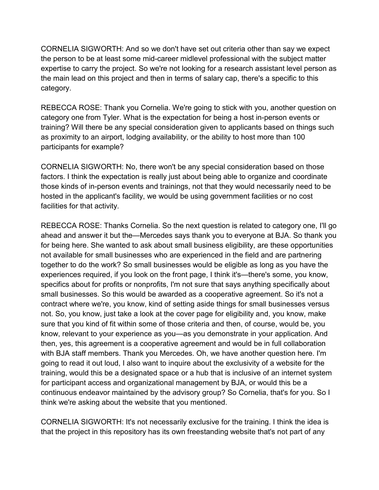CORNELIA SIGWORTH: And so we don't have set out criteria other than say we expect the person to be at least some mid-career midlevel professional with the subject matter expertise to carry the project. So we're not looking for a research assistant level person as the main lead on this project and then in terms of salary cap, there's a specific to this category.

REBECCA ROSE: Thank you Cornelia. We're going to stick with you, another question on category one from Tyler. What is the expectation for being a host in-person events or training? Will there be any special consideration given to applicants based on things such as proximity to an airport, lodging availability, or the ability to host more than 100 participants for example?

CORNELIA SIGWORTH: No, there won't be any special consideration based on those factors. I think the expectation is really just about being able to organize and coordinate those kinds of in-person events and trainings, not that they would necessarily need to be hosted in the applicant's facility, we would be using government facilities or no cost facilities for that activity.

REBECCA ROSE: Thanks Cornelia. So the next question is related to category one, I'll go ahead and answer it but the—Mercedes says thank you to everyone at BJA. So thank you for being here. She wanted to ask about small business eligibility, are these opportunities not available for small businesses who are experienced in the field and are partnering together to do the work? So small businesses would be eligible as long as you have the experiences required, if you look on the front page, I think it's—there's some, you know, specifics about for profits or nonprofits, I'm not sure that says anything specifically about small businesses. So this would be awarded as a cooperative agreement. So it's not a contract where we're, you know, kind of setting aside things for small businesses versus not. So, you know, just take a look at the cover page for eligibility and, you know, make sure that you kind of fit within some of those criteria and then, of course, would be, you know, relevant to your experience as you—as you demonstrate in your application. And then, yes, this agreement is a cooperative agreement and would be in full collaboration with BJA staff members. Thank you Mercedes. Oh, we have another question here. I'm going to read it out loud, I also want to inquire about the exclusivity of a website for the training, would this be a designated space or a hub that is inclusive of an internet system for participant access and organizational management by BJA, or would this be a continuous endeavor maintained by the advisory group? So Cornelia, that's for you. So I think we're asking about the website that you mentioned.

CORNELIA SIGWORTH: It's not necessarily exclusive for the training. I think the idea is that the project in this repository has its own freestanding website that's not part of any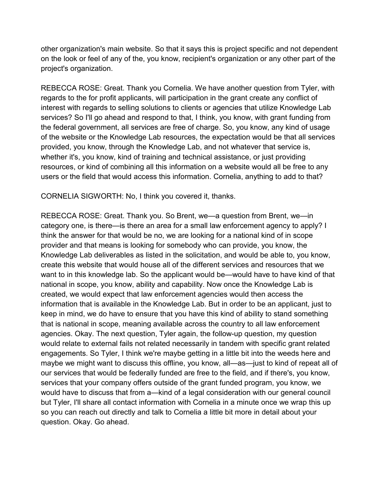other organization's main website. So that it says this is project specific and not dependent on the look or feel of any of the, you know, recipient's organization or any other part of the project's organization.

REBECCA ROSE: Great. Thank you Cornelia. We have another question from Tyler, with regards to the for profit applicants, will participation in the grant create any conflict of interest with regards to selling solutions to clients or agencies that utilize Knowledge Lab services? So I'll go ahead and respond to that, I think, you know, with grant funding from the federal government, all services are free of charge. So, you know, any kind of usage of the website or the Knowledge Lab resources, the expectation would be that all services provided, you know, through the Knowledge Lab, and not whatever that service is, whether it's, you know, kind of training and technical assistance, or just providing resources, or kind of combining all this information on a website would all be free to any users or the field that would access this information. Cornelia, anything to add to that?

CORNELIA SIGWORTH: No, I think you covered it, thanks.

REBECCA ROSE: Great. Thank you. So Brent, we—a question from Brent, we—in category one, is there—is there an area for a small law enforcement agency to apply? I think the answer for that would be no, we are looking for a national kind of in scope provider and that means is looking for somebody who can provide, you know, the Knowledge Lab deliverables as listed in the solicitation, and would be able to, you know, create this website that would house all of the different services and resources that we want to in this knowledge lab. So the applicant would be—would have to have kind of that national in scope, you know, ability and capability. Now once the Knowledge Lab is created, we would expect that law enforcement agencies would then access the information that is available in the Knowledge Lab. But in order to be an applicant, just to keep in mind, we do have to ensure that you have this kind of ability to stand something that is national in scope, meaning available across the country to all law enforcement agencies. Okay. The next question, Tyler again, the follow-up question, my question would relate to external fails not related necessarily in tandem with specific grant related engagements. So Tyler, I think we're maybe getting in a little bit into the weeds here and maybe we might want to discuss this offline, you know, all—as—just to kind of repeat all of our services that would be federally funded are free to the field, and if there's, you know, services that your company offers outside of the grant funded program, you know, we would have to discuss that from a—kind of a legal consideration with our general council but Tyler, I'll share all contact information with Cornelia in a minute once we wrap this up so you can reach out directly and talk to Cornelia a little bit more in detail about your question. Okay. Go ahead.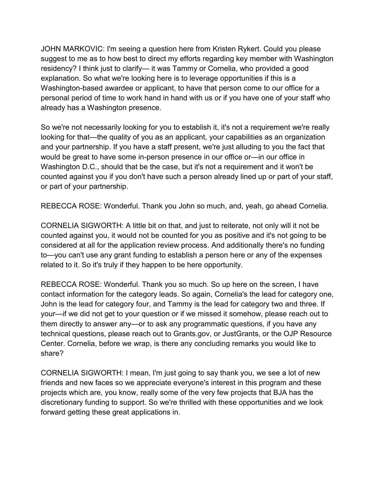JOHN MARKOVIC: I'm seeing a question here from Kristen Rykert. Could you please suggest to me as to how best to direct my efforts regarding key member with Washington residency? I think just to clarify— it was Tammy or Cornelia, who provided a good explanation. So what we're looking here is to leverage opportunities if this is a Washington-based awardee or applicant, to have that person come to our office for a personal period of time to work hand in hand with us or if you have one of your staff who already has a Washington presence.

So we're not necessarily looking for you to establish it, it's not a requirement we're really looking for that—the quality of you as an applicant, your capabilities as an organization and your partnership. If you have a staff present, we're just alluding to you the fact that would be great to have some in-person presence in our office or—in our office in Washington D.C., should that be the case, but it's not a requirement and it won't be counted against you if you don't have such a person already lined up or part of your staff, or part of your partnership.

REBECCA ROSE: Wonderful. Thank you John so much, and, yeah, go ahead Cornelia.

CORNELIA SIGWORTH: A little bit on that, and just to reiterate, not only will it not be counted against you, it would not be counted for you as positive and it's not going to be considered at all for the application review process. And additionally there's no funding to—you can't use any grant funding to establish a person here or any of the expenses related to it. So it's truly if they happen to be here opportunity.

REBECCA ROSE: Wonderful. Thank you so much. So up here on the screen, I have contact information for the category leads. So again, Cornelia's the lead for category one, John is the lead for category four, and Tammy is the lead for category two and three. If your—if we did not get to your question or if we missed it somehow, please reach out to them directly to answer any—or to ask any programmatic questions, if you have any technical questions, please reach out to Grants.gov, or JustGrants, or the OJP Resource Center. Cornelia, before we wrap, is there any concluding remarks you would like to share?

CORNELIA SIGWORTH: I mean, I'm just going to say thank you, we see a lot of new friends and new faces so we appreciate everyone's interest in this program and these projects which are, you know, really some of the very few projects that BJA has the discretionary funding to support. So we're thrilled with these opportunities and we look forward getting these great applications in.